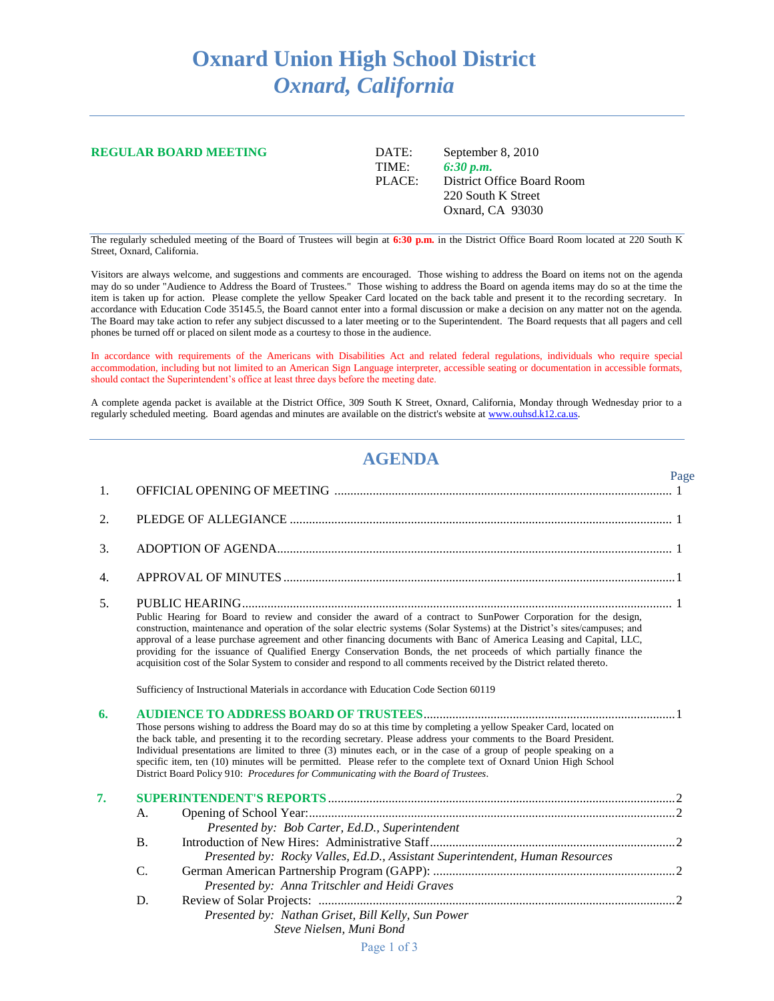## **Oxnard Union High School District** *Oxnard, California*

| <b>REGULAR BOARD MEETING</b> | DATE:  | September 8, 2010          |
|------------------------------|--------|----------------------------|
|                              | TIME:  | 6:30 p.m.                  |
|                              | PLACE: | District Office Board Room |
|                              |        | 220 South K Street         |
|                              |        | Oxnard, CA 93030           |
|                              |        |                            |

The regularly scheduled meeting of the Board of Trustees will begin at **6:30 p.m.** in the District Office Board Room located at 220 South K Street, Oxnard, California.

Visitors are always welcome, and suggestions and comments are encouraged. Those wishing to address the Board on items not on the agenda may do so under "Audience to Address the Board of Trustees." Those wishing to address the Board on agenda items may do so at the time the item is taken up for action. Please complete the yellow Speaker Card located on the back table and present it to the recording secretary. In accordance with Education Code 35145.5, the Board cannot enter into a formal discussion or make a decision on any matter not on the agenda. The Board may take action to refer any subject discussed to a later meeting or to the Superintendent. The Board requests that all pagers and cell phones be turned off or placed on silent mode as a courtesy to those in the audience.

In accordance with requirements of the Americans with Disabilities Act and related federal regulations, individuals who require special accommodation, including but not limited to an American Sign Language interpreter, accessible seating or documentation in accessible formats, should contact the Superintendent's office at least three days before the meeting date.

A complete agenda packet is available at the District Office, 309 South K Street, Oxnard, California, Monday through Wednesday prior to a regularly scheduled meeting. Board agendas and minutes are available on the district's website a[t www.ouhsd.k12.ca.us.](http://www.ouhsd.k12.ca.us/)

## **AGENDA**

Page

| 1. |                                                                                                                                                                                                                                                                                                                                                                                                                                                                                                                                                                         |                                                                                                                                                                                                                                                                                                                                                                                                                                                                                                                                                                                                                       |  |  |
|----|-------------------------------------------------------------------------------------------------------------------------------------------------------------------------------------------------------------------------------------------------------------------------------------------------------------------------------------------------------------------------------------------------------------------------------------------------------------------------------------------------------------------------------------------------------------------------|-----------------------------------------------------------------------------------------------------------------------------------------------------------------------------------------------------------------------------------------------------------------------------------------------------------------------------------------------------------------------------------------------------------------------------------------------------------------------------------------------------------------------------------------------------------------------------------------------------------------------|--|--|
| 2. |                                                                                                                                                                                                                                                                                                                                                                                                                                                                                                                                                                         |                                                                                                                                                                                                                                                                                                                                                                                                                                                                                                                                                                                                                       |  |  |
| 3. |                                                                                                                                                                                                                                                                                                                                                                                                                                                                                                                                                                         |                                                                                                                                                                                                                                                                                                                                                                                                                                                                                                                                                                                                                       |  |  |
| 4. |                                                                                                                                                                                                                                                                                                                                                                                                                                                                                                                                                                         |                                                                                                                                                                                                                                                                                                                                                                                                                                                                                                                                                                                                                       |  |  |
| 5. |                                                                                                                                                                                                                                                                                                                                                                                                                                                                                                                                                                         | Public Hearing for Board to review and consider the award of a contract to SunPower Corporation for the design,<br>construction, maintenance and operation of the solar electric systems (Solar Systems) at the District's sites/campuses; and<br>approval of a lease purchase agreement and other financing documents with Banc of America Leasing and Capital, LLC,<br>providing for the issuance of Qualified Energy Conservation Bonds, the net proceeds of which partially finance the<br>acquisition cost of the Solar System to consider and respond to all comments received by the District related thereto. |  |  |
|    |                                                                                                                                                                                                                                                                                                                                                                                                                                                                                                                                                                         | Sufficiency of Instructional Materials in accordance with Education Code Section 60119                                                                                                                                                                                                                                                                                                                                                                                                                                                                                                                                |  |  |
| 6. | Those persons wishing to address the Board may do so at this time by completing a yellow Speaker Card, located on<br>the back table, and presenting it to the recording secretary. Please address your comments to the Board President.<br>Individual presentations are limited to three (3) minutes each, or in the case of a group of people speaking on a<br>specific item, ten (10) minutes will be permitted. Please refer to the complete text of Oxnard Union High School<br>District Board Policy 910: Procedures for Communicating with the Board of Trustees. |                                                                                                                                                                                                                                                                                                                                                                                                                                                                                                                                                                                                                       |  |  |
| 7. |                                                                                                                                                                                                                                                                                                                                                                                                                                                                                                                                                                         |                                                                                                                                                                                                                                                                                                                                                                                                                                                                                                                                                                                                                       |  |  |
|    | A.                                                                                                                                                                                                                                                                                                                                                                                                                                                                                                                                                                      | Presented by: Bob Carter, Ed.D., Superintendent                                                                                                                                                                                                                                                                                                                                                                                                                                                                                                                                                                       |  |  |
|    | B.                                                                                                                                                                                                                                                                                                                                                                                                                                                                                                                                                                      | Presented by: Rocky Valles, Ed.D., Assistant Superintendent, Human Resources                                                                                                                                                                                                                                                                                                                                                                                                                                                                                                                                          |  |  |
|    | C.                                                                                                                                                                                                                                                                                                                                                                                                                                                                                                                                                                      | Presented by: Anna Tritschler and Heidi Graves                                                                                                                                                                                                                                                                                                                                                                                                                                                                                                                                                                        |  |  |
|    | D.                                                                                                                                                                                                                                                                                                                                                                                                                                                                                                                                                                      | Presented by: Nathan Griset, Bill Kelly, Sun Power<br>Steve Nielsen, Muni Bond                                                                                                                                                                                                                                                                                                                                                                                                                                                                                                                                        |  |  |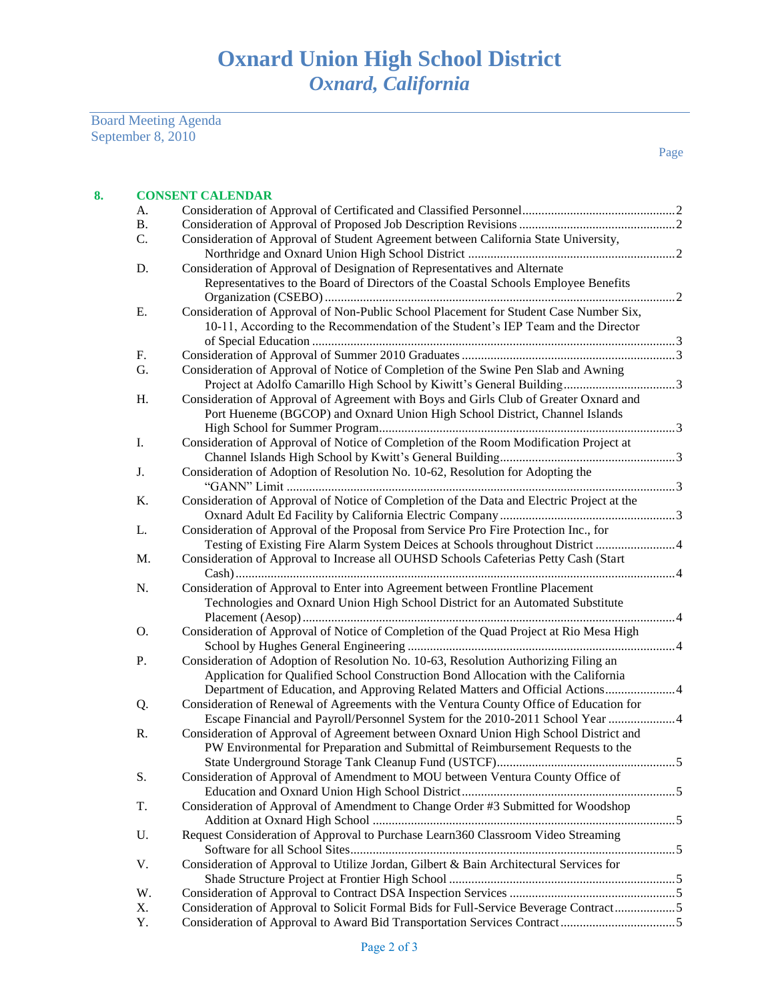Board Meeting Agenda September 8, 2010

| 8. |           | <b>CONSENT CALENDAR</b>                                                                                                                                                                                                                                  |  |  |  |
|----|-----------|----------------------------------------------------------------------------------------------------------------------------------------------------------------------------------------------------------------------------------------------------------|--|--|--|
|    | А.        |                                                                                                                                                                                                                                                          |  |  |  |
|    | <b>B.</b> |                                                                                                                                                                                                                                                          |  |  |  |
|    | C.        | Consideration of Approval of Student Agreement between California State University,                                                                                                                                                                      |  |  |  |
|    |           |                                                                                                                                                                                                                                                          |  |  |  |
|    | D.        | Consideration of Approval of Designation of Representatives and Alternate<br>Representatives to the Board of Directors of the Coastal Schools Employee Benefits                                                                                          |  |  |  |
|    |           |                                                                                                                                                                                                                                                          |  |  |  |
|    | Ε.        | Consideration of Approval of Non-Public School Placement for Student Case Number Six,<br>10-11, According to the Recommendation of the Student's IEP Team and the Director                                                                               |  |  |  |
|    | F.        |                                                                                                                                                                                                                                                          |  |  |  |
|    | G.        | Consideration of Approval of Notice of Completion of the Swine Pen Slab and Awning                                                                                                                                                                       |  |  |  |
|    |           |                                                                                                                                                                                                                                                          |  |  |  |
|    | H.        | Consideration of Approval of Agreement with Boys and Girls Club of Greater Oxnard and<br>Port Hueneme (BGCOP) and Oxnard Union High School District, Channel Islands                                                                                     |  |  |  |
|    | I.        | Consideration of Approval of Notice of Completion of the Room Modification Project at                                                                                                                                                                    |  |  |  |
|    |           |                                                                                                                                                                                                                                                          |  |  |  |
|    | J.        | Consideration of Adoption of Resolution No. 10-62, Resolution for Adopting the                                                                                                                                                                           |  |  |  |
|    | K.        | Consideration of Approval of Notice of Completion of the Data and Electric Project at the                                                                                                                                                                |  |  |  |
|    | L.        | Consideration of Approval of the Proposal from Service Pro Fire Protection Inc., for                                                                                                                                                                     |  |  |  |
|    |           | Testing of Existing Fire Alarm System Deices at Schools throughout District  4                                                                                                                                                                           |  |  |  |
|    | M.        | Consideration of Approval to Increase all OUHSD Schools Cafeterias Petty Cash (Start                                                                                                                                                                     |  |  |  |
|    | N.        | Consideration of Approval to Enter into Agreement between Frontline Placement<br>Technologies and Oxnard Union High School District for an Automated Substitute                                                                                          |  |  |  |
|    | Ο.        | Consideration of Approval of Notice of Completion of the Quad Project at Rio Mesa High                                                                                                                                                                   |  |  |  |
|    | Ρ.        | Consideration of Adoption of Resolution No. 10-63, Resolution Authorizing Filing an<br>Application for Qualified School Construction Bond Allocation with the California<br>Department of Education, and Approving Related Matters and Official Actions4 |  |  |  |
|    | Q.        | Consideration of Renewal of Agreements with the Ventura County Office of Education for<br>Escape Financial and Payroll/Personnel System for the 2010-2011 School Year  4                                                                                 |  |  |  |
|    | R.        | Consideration of Approval of Agreement between Oxnard Union High School District and<br>PW Environmental for Preparation and Submittal of Reimbursement Requests to the                                                                                  |  |  |  |
|    | S.        | Consideration of Approval of Amendment to MOU between Ventura County Office of                                                                                                                                                                           |  |  |  |
|    | T.        | Consideration of Approval of Amendment to Change Order #3 Submitted for Woodshop                                                                                                                                                                         |  |  |  |
|    | U.        | Request Consideration of Approval to Purchase Learn360 Classroom Video Streaming                                                                                                                                                                         |  |  |  |
|    | V.        | Consideration of Approval to Utilize Jordan, Gilbert & Bain Architectural Services for                                                                                                                                                                   |  |  |  |
|    | W.        |                                                                                                                                                                                                                                                          |  |  |  |
|    | X.        | Consideration of Approval to Solicit Formal Bids for Full-Service Beverage Contract5                                                                                                                                                                     |  |  |  |
|    | Y.        |                                                                                                                                                                                                                                                          |  |  |  |
|    |           |                                                                                                                                                                                                                                                          |  |  |  |